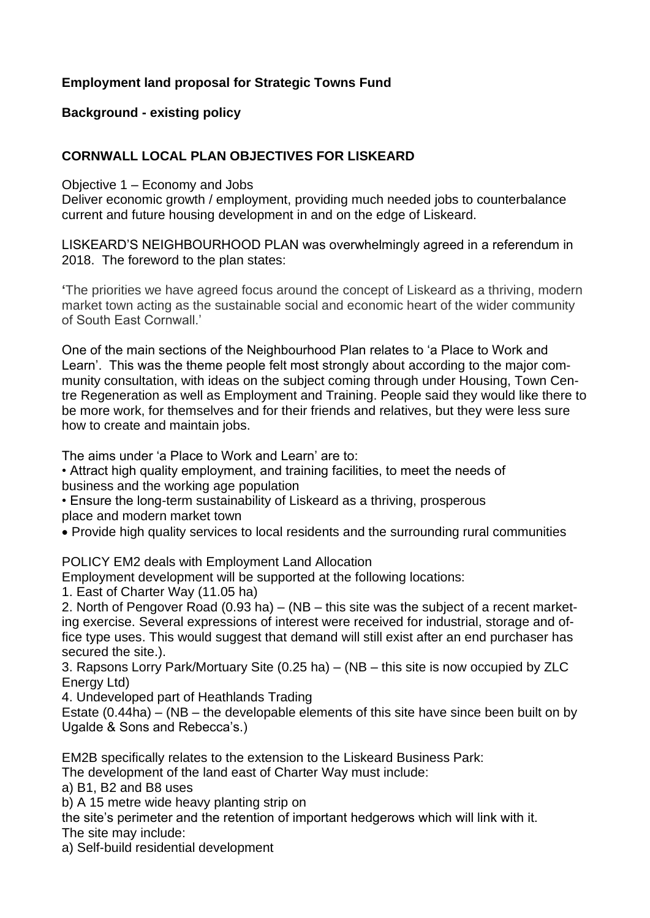# **Employment land proposal for Strategic Towns Fund**

# **Background - existing policy**

# **CORNWALL LOCAL PLAN OBJECTIVES FOR LISKEARD**

Objective 1 – Economy and Jobs

Deliver economic growth / employment, providing much needed jobs to counterbalance current and future housing development in and on the edge of Liskeard.

LISKEARD'S NEIGHBOURHOOD PLAN was overwhelmingly agreed in a referendum in 2018. The foreword to the plan states:

**'**The priorities we have agreed focus around the concept of Liskeard as a thriving, modern market town acting as the sustainable social and economic heart of the wider community of South East Cornwall.'

One of the main sections of the Neighbourhood Plan relates to 'a Place to Work and Learn'. This was the theme people felt most strongly about according to the major community consultation, with ideas on the subject coming through under Housing, Town Centre Regeneration as well as Employment and Training. People said they would like there to be more work, for themselves and for their friends and relatives, but they were less sure how to create and maintain jobs.

The aims under 'a Place to Work and Learn' are to:

• Attract high quality employment, and training facilities, to meet the needs of business and the working age population

• Ensure the long-term sustainability of Liskeard as a thriving, prosperous

place and modern market town

• Provide high quality services to local residents and the surrounding rural communities

POLICY EM2 deals with Employment Land Allocation

Employment development will be supported at the following locations:

1. East of Charter Way (11.05 ha)

2. North of Pengover Road (0.93 ha) – (NB – this site was the subject of a recent marketing exercise. Several expressions of interest were received for industrial, storage and office type uses. This would suggest that demand will still exist after an end purchaser has secured the site.).

3. Rapsons Lorry Park/Mortuary Site (0.25 ha) – (NB – this site is now occupied by ZLC Energy Ltd)

4. Undeveloped part of Heathlands Trading

Estate (0.44ha) – (NB – the developable elements of this site have since been built on by Ugalde & Sons and Rebecca's.)

EM2B specifically relates to the extension to the Liskeard Business Park:

The development of the land east of Charter Way must include:

a) B1, B2 and B8 uses

b) A 15 metre wide heavy planting strip on

the site's perimeter and the retention of important hedgerows which will link with it. The site may include:

a) Self-build residential development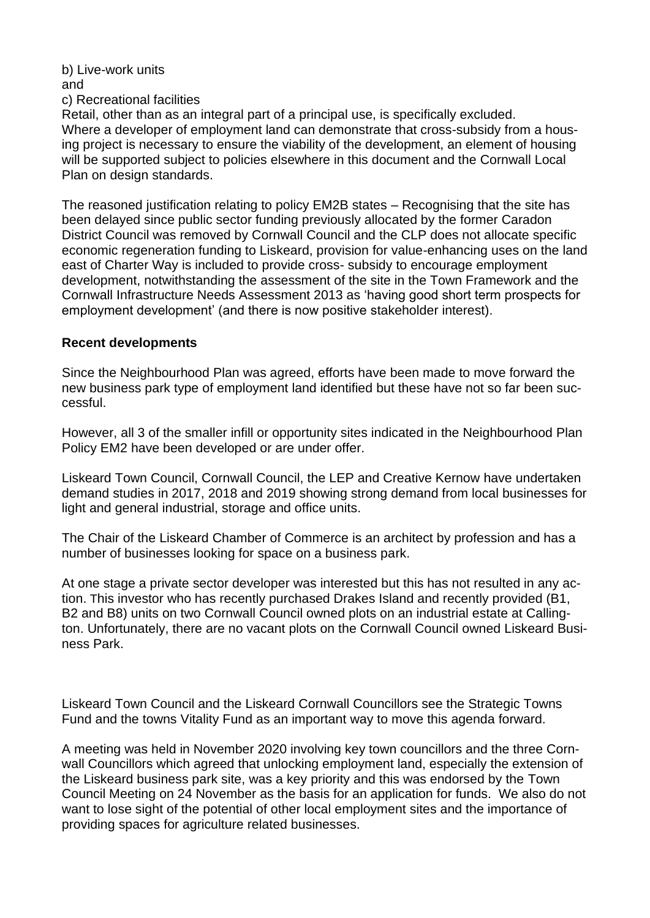#### b) Live-work units and c) Recreational facilities

Retail, other than as an integral part of a principal use, is specifically excluded. Where a developer of employment land can demonstrate that cross-subsidy from a housing project is necessary to ensure the viability of the development, an element of housing will be supported subject to policies elsewhere in this document and the Cornwall Local Plan on design standards.

The reasoned justification relating to policy EM2B states – Recognising that the site has been delayed since public sector funding previously allocated by the former Caradon District Council was removed by Cornwall Council and the CLP does not allocate specific economic regeneration funding to Liskeard, provision for value-enhancing uses on the land east of Charter Way is included to provide cross- subsidy to encourage employment development, notwithstanding the assessment of the site in the Town Framework and the Cornwall Infrastructure Needs Assessment 2013 as 'having good short term prospects for employment development' (and there is now positive stakeholder interest).

## **Recent developments**

Since the Neighbourhood Plan was agreed, efforts have been made to move forward the new business park type of employment land identified but these have not so far been successful.

However, all 3 of the smaller infill or opportunity sites indicated in the Neighbourhood Plan Policy EM2 have been developed or are under offer.

Liskeard Town Council, Cornwall Council, the LEP and Creative Kernow have undertaken demand studies in 2017, 2018 and 2019 showing strong demand from local businesses for light and general industrial, storage and office units.

The Chair of the Liskeard Chamber of Commerce is an architect by profession and has a number of businesses looking for space on a business park.

At one stage a private sector developer was interested but this has not resulted in any action. This investor who has recently purchased Drakes Island and recently provided (B1, B2 and B8) units on two Cornwall Council owned plots on an industrial estate at Callington. Unfortunately, there are no vacant plots on the Cornwall Council owned Liskeard Business Park.

Liskeard Town Council and the Liskeard Cornwall Councillors see the Strategic Towns Fund and the towns Vitality Fund as an important way to move this agenda forward.

A meeting was held in November 2020 involving key town councillors and the three Cornwall Councillors which agreed that unlocking employment land, especially the extension of the Liskeard business park site, was a key priority and this was endorsed by the Town Council Meeting on 24 November as the basis for an application for funds. We also do not want to lose sight of the potential of other local employment sites and the importance of providing spaces for agriculture related businesses.